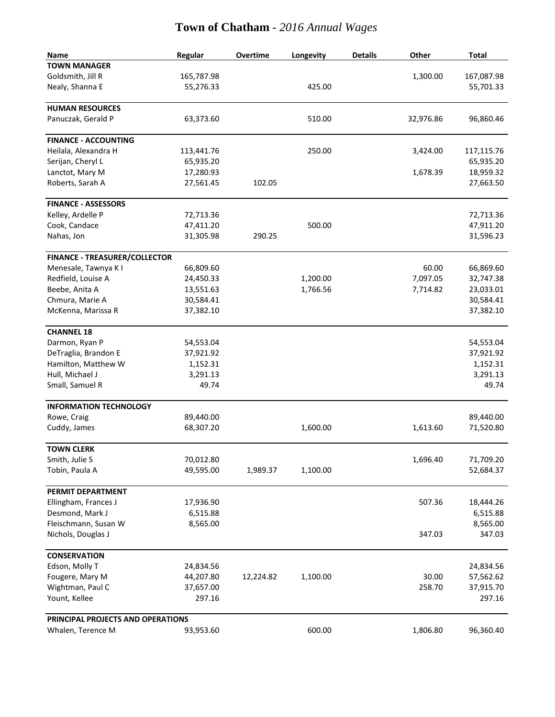| Name                                 | Regular    | <b>Overtime</b> | Longevity | <b>Details</b> | Other     | <b>Total</b> |
|--------------------------------------|------------|-----------------|-----------|----------------|-----------|--------------|
| <b>TOWN MANAGER</b>                  |            |                 |           |                |           |              |
| Goldsmith, Jill R                    | 165,787.98 |                 |           |                | 1,300.00  | 167,087.98   |
| Nealy, Shanna E                      | 55,276.33  |                 | 425.00    |                |           | 55,701.33    |
| <b>HUMAN RESOURCES</b>               |            |                 |           |                |           |              |
| Panuczak, Gerald P                   | 63,373.60  |                 | 510.00    |                | 32,976.86 | 96,860.46    |
| <b>FINANCE - ACCOUNTING</b>          |            |                 |           |                |           |              |
| Heilala, Alexandra H                 | 113,441.76 |                 | 250.00    |                | 3,424.00  | 117,115.76   |
| Serijan, Cheryl L                    | 65,935.20  |                 |           |                |           | 65,935.20    |
| Lanctot, Mary M                      | 17,280.93  |                 |           |                | 1,678.39  | 18,959.32    |
| Roberts, Sarah A                     | 27,561.45  | 102.05          |           |                |           | 27,663.50    |
| <b>FINANCE - ASSESSORS</b>           |            |                 |           |                |           |              |
| Kelley, Ardelle P                    | 72,713.36  |                 |           |                |           | 72,713.36    |
| Cook, Candace                        | 47,411.20  |                 | 500.00    |                |           | 47,911.20    |
| Nahas, Jon                           | 31,305.98  | 290.25          |           |                |           | 31,596.23    |
| <b>FINANCE - TREASURER/COLLECTOR</b> |            |                 |           |                |           |              |
| Menesale, Tawnya K I                 | 66,809.60  |                 |           |                | 60.00     | 66,869.60    |
| Redfield, Louise A                   | 24,450.33  |                 | 1,200.00  |                | 7,097.05  | 32,747.38    |
| Beebe, Anita A                       | 13,551.63  |                 | 1,766.56  |                | 7,714.82  | 23,033.01    |
| Chmura, Marie A                      | 30,584.41  |                 |           |                |           | 30,584.41    |
| McKenna, Marissa R                   | 37,382.10  |                 |           |                |           | 37,382.10    |
| <b>CHANNEL 18</b>                    |            |                 |           |                |           |              |
| Darmon, Ryan P                       | 54,553.04  |                 |           |                |           | 54,553.04    |
| DeTraglia, Brandon E                 | 37,921.92  |                 |           |                |           | 37,921.92    |
| Hamilton, Matthew W                  | 1,152.31   |                 |           |                |           | 1,152.31     |
| Hull, Michael J                      | 3,291.13   |                 |           |                |           | 3,291.13     |
| Small, Samuel R                      | 49.74      |                 |           |                |           | 49.74        |
| <b>INFORMATION TECHNOLOGY</b>        |            |                 |           |                |           |              |
| Rowe, Craig                          | 89,440.00  |                 |           |                |           | 89,440.00    |
| Cuddy, James                         | 68,307.20  |                 | 1,600.00  |                | 1,613.60  | 71,520.80    |
| <b>TOWN CLERK</b>                    |            |                 |           |                |           |              |
| Smith, Julie S                       | 70,012.80  |                 |           |                | 1,696.40  | 71,709.20    |
| Tobin, Paula A                       | 49,595.00  | 1,989.37        | 1,100.00  |                |           | 52,684.37    |
| PERMIT DEPARTMENT                    |            |                 |           |                |           |              |
| Ellingham, Frances J                 | 17,936.90  |                 |           |                | 507.36    | 18,444.26    |
| Desmond, Mark J                      | 6,515.88   |                 |           |                |           | 6,515.88     |
| Fleischmann, Susan W                 | 8,565.00   |                 |           |                |           | 8,565.00     |
| Nichols, Douglas J                   |            |                 |           |                | 347.03    | 347.03       |
| <b>CONSERVATION</b>                  |            |                 |           |                |           |              |
| Edson, Molly T                       | 24,834.56  |                 |           |                |           | 24,834.56    |
| Fougere, Mary M                      | 44,207.80  | 12,224.82       | 1,100.00  |                | 30.00     | 57,562.62    |
| Wightman, Paul C                     | 37,657.00  |                 |           |                | 258.70    | 37,915.70    |
| Yount, Kellee                        | 297.16     |                 |           |                |           | 297.16       |
| PRINCIPAL PROJECTS AND OPERATIONS    |            |                 |           |                |           |              |
| Whalen, Terence M                    | 93,953.60  |                 | 600.00    |                | 1,806.80  | 96,360.40    |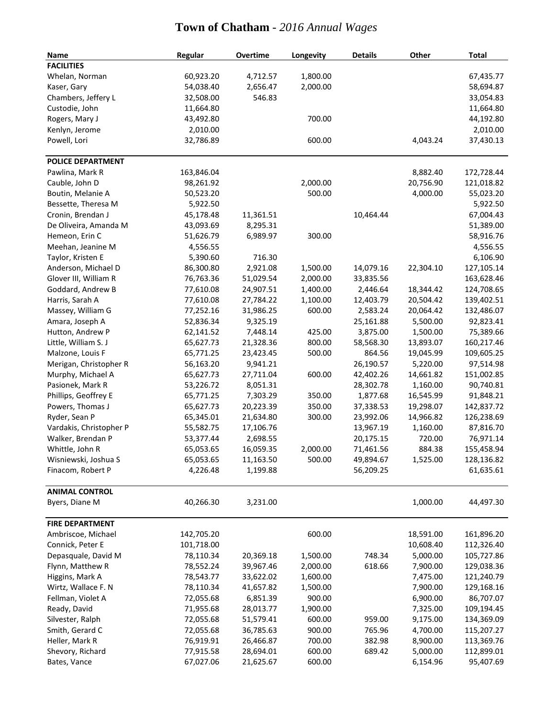| Name                    | Regular    | Overtime  | Longevity | <b>Details</b> | Other     | <b>Total</b> |
|-------------------------|------------|-----------|-----------|----------------|-----------|--------------|
| <b>FACILITIES</b>       |            |           |           |                |           |              |
| Whelan, Norman          | 60,923.20  | 4,712.57  | 1,800.00  |                |           | 67,435.77    |
| Kaser, Gary             | 54,038.40  | 2,656.47  | 2,000.00  |                |           | 58,694.87    |
| Chambers, Jeffery L     | 32,508.00  | 546.83    |           |                |           | 33,054.83    |
| Custodie, John          | 11,664.80  |           |           |                |           | 11,664.80    |
| Rogers, Mary J          | 43,492.80  |           | 700.00    |                |           | 44,192.80    |
| Kenlyn, Jerome          | 2,010.00   |           |           |                |           | 2,010.00     |
| Powell, Lori            | 32,786.89  |           | 600.00    |                | 4,043.24  | 37,430.13    |
| POLICE DEPARTMENT       |            |           |           |                |           |              |
| Pawlina, Mark R         | 163,846.04 |           |           |                | 8,882.40  | 172,728.44   |
| Cauble, John D          | 98,261.92  |           | 2,000.00  |                | 20,756.90 | 121,018.82   |
| Boutin, Melanie A       | 50,523.20  |           | 500.00    |                | 4,000.00  | 55,023.20    |
| Bessette, Theresa M     | 5,922.50   |           |           |                |           | 5,922.50     |
| Cronin, Brendan J       | 45,178.48  | 11,361.51 |           | 10,464.44      |           | 67,004.43    |
| De Oliveira, Amanda M   | 43,093.69  | 8,295.31  |           |                |           | 51,389.00    |
| Hemeon, Erin C          | 51,626.79  | 6,989.97  | 300.00    |                |           | 58,916.76    |
| Meehan, Jeanine M       | 4,556.55   |           |           |                |           | 4,556.55     |
| Taylor, Kristen E       | 5,390.60   | 716.30    |           |                |           | 6,106.90     |
| Anderson, Michael D     | 86,300.80  | 2,921.08  | 1,500.00  | 14,079.16      | 22,304.10 | 127,105.14   |
| Glover III, William R   | 76,763.36  | 51,029.54 | 2,000.00  | 33,835.56      |           | 163,628.46   |
| Goddard, Andrew B       | 77,610.08  | 24,907.51 | 1,400.00  | 2,446.64       | 18,344.42 | 124,708.65   |
| Harris, Sarah A         | 77,610.08  | 27,784.22 | 1,100.00  | 12,403.79      | 20,504.42 | 139,402.51   |
| Massey, William G       | 77,252.16  | 31,986.25 | 600.00    | 2,583.24       | 20,064.42 | 132,486.07   |
| Amara, Joseph A         | 52,836.34  | 9,325.19  |           | 25,161.88      | 5,500.00  | 92,823.41    |
| Hutton, Andrew P        | 62,141.52  | 7,448.14  | 425.00    | 3,875.00       | 1,500.00  | 75,389.66    |
| Little, William S. J    | 65,627.73  | 21,328.36 | 800.00    | 58,568.30      | 13,893.07 | 160,217.46   |
| Malzone, Louis F        | 65,771.25  | 23,423.45 | 500.00    | 864.56         | 19,045.99 | 109,605.25   |
| Merigan, Christopher R  | 56,163.20  | 9,941.21  |           | 26,190.57      | 5,220.00  | 97,514.98    |
| Murphy, Michael A       | 65,627.73  | 27,711.04 | 600.00    | 42,402.26      | 14,661.82 | 151,002.85   |
| Pasionek, Mark R        | 53,226.72  | 8,051.31  |           | 28,302.78      | 1,160.00  | 90,740.81    |
| Phillips, Geoffrey E    | 65,771.25  | 7,303.29  | 350.00    | 1,877.68       | 16,545.99 | 91,848.21    |
| Powers, Thomas J        | 65,627.73  | 20,223.39 | 350.00    | 37,338.53      | 19,298.07 | 142,837.72   |
| Ryder, Sean P           | 65,345.01  | 21,634.80 | 300.00    | 23,992.06      | 14,966.82 | 126,238.69   |
| Vardakis, Christopher P | 55,582.75  | 17,106.76 |           | 13,967.19      | 1,160.00  | 87,816.70    |
| Walker, Brendan P       | 53,377.44  | 2,698.55  |           | 20,175.15      | 720.00    | 76,971.14    |
| Whittle, John R         | 65,053.65  | 16,059.35 | 2,000.00  | 71,461.56      | 884.38    | 155,458.94   |
| Wisniewski, Joshua S    | 65,053.65  | 11,163.50 | 500.00    | 49,894.67      | 1,525.00  | 128,136.82   |
| Finacom, Robert P       | 4,226.48   | 1,199.88  |           | 56,209.25      |           | 61,635.61    |
| <b>ANIMAL CONTROL</b>   |            |           |           |                |           |              |
| Byers, Diane M          | 40,266.30  | 3,231.00  |           |                | 1,000.00  | 44,497.30    |
| <b>FIRE DEPARTMENT</b>  |            |           |           |                |           |              |
| Ambriscoe, Michael      | 142,705.20 |           | 600.00    |                | 18,591.00 | 161,896.20   |
| Connick, Peter E        | 101,718.00 |           |           |                | 10,608.40 | 112,326.40   |
| Depasquale, David M     | 78,110.34  | 20,369.18 | 1,500.00  | 748.34         | 5,000.00  | 105,727.86   |
| Flynn, Matthew R        | 78,552.24  | 39,967.46 | 2,000.00  | 618.66         | 7,900.00  | 129,038.36   |
| Higgins, Mark A         | 78,543.77  | 33,622.02 | 1,600.00  |                | 7,475.00  | 121,240.79   |
| Wirtz, Wallace F. N     | 78,110.34  | 41,657.82 | 1,500.00  |                | 7,900.00  | 129,168.16   |
| Fellman, Violet A       | 72,055.68  | 6,851.39  | 900.00    |                | 6,900.00  | 86,707.07    |
| Ready, David            | 71,955.68  | 28,013.77 | 1,900.00  |                | 7,325.00  | 109,194.45   |
| Silvester, Ralph        | 72,055.68  | 51,579.41 | 600.00    | 959.00         | 9,175.00  | 134,369.09   |
| Smith, Gerard C         | 72,055.68  | 36,785.63 | 900.00    | 765.96         | 4,700.00  | 115,207.27   |
| Heller, Mark R          | 76,919.91  | 26,466.87 | 700.00    | 382.98         | 8,900.00  | 113,369.76   |
| Shevory, Richard        | 77,915.58  | 28,694.01 | 600.00    | 689.42         | 5,000.00  | 112,899.01   |
| Bates, Vance            | 67,027.06  | 21,625.67 | 600.00    |                | 6,154.96  | 95,407.69    |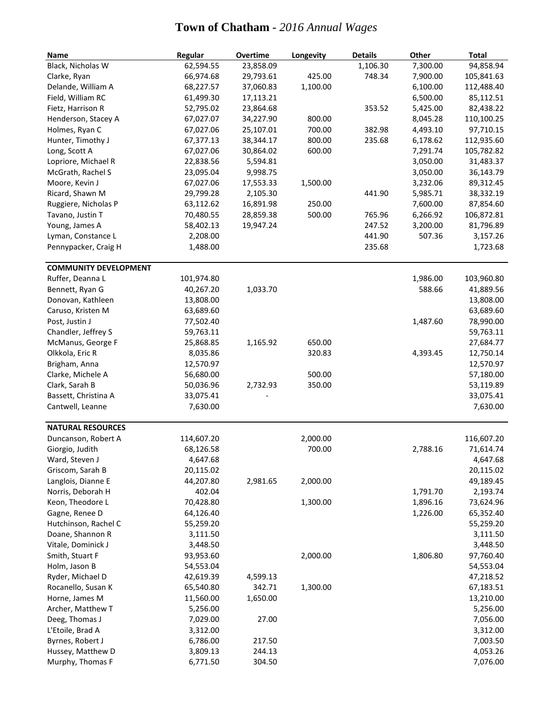| Name                         | Regular    | Overtime  | Longevity | <b>Details</b> | Other    | <b>Total</b> |
|------------------------------|------------|-----------|-----------|----------------|----------|--------------|
| Black, Nicholas W            | 62,594.55  | 23,858.09 |           | 1,106.30       | 7,300.00 | 94,858.94    |
| Clarke, Ryan                 | 66,974.68  | 29,793.61 | 425.00    | 748.34         | 7,900.00 | 105,841.63   |
| Delande, William A           | 68,227.57  | 37,060.83 | 1,100.00  |                | 6,100.00 | 112,488.40   |
| Field, William RC            | 61,499.30  | 17,113.21 |           |                | 6,500.00 | 85,112.51    |
| Fietz, Harrison R            | 52,795.02  | 23,864.68 |           | 353.52         | 5,425.00 | 82,438.22    |
| Henderson, Stacey A          | 67,027.07  | 34,227.90 | 800.00    |                | 8,045.28 | 110,100.25   |
| Holmes, Ryan C               | 67,027.06  | 25,107.01 | 700.00    | 382.98         | 4,493.10 | 97,710.15    |
| Hunter, Timothy J            | 67,377.13  | 38,344.17 | 800.00    | 235.68         | 6,178.62 | 112,935.60   |
| Long, Scott A                | 67,027.06  | 30,864.02 | 600.00    |                | 7,291.74 | 105,782.82   |
| Lopriore, Michael R          | 22,838.56  | 5,594.81  |           |                | 3,050.00 | 31,483.37    |
| McGrath, Rachel S            | 23,095.04  | 9,998.75  |           |                | 3,050.00 | 36,143.79    |
| Moore, Kevin J               | 67,027.06  | 17,553.33 | 1,500.00  |                | 3,232.06 | 89,312.45    |
| Ricard, Shawn M              | 29,799.28  | 2,105.30  |           | 441.90         | 5,985.71 | 38,332.19    |
| Ruggiere, Nicholas P         | 63,112.62  | 16,891.98 | 250.00    |                | 7,600.00 | 87,854.60    |
| Tavano, Justin T             | 70,480.55  | 28,859.38 | 500.00    | 765.96         | 6,266.92 | 106,872.81   |
| Young, James A               | 58,402.13  | 19,947.24 |           | 247.52         | 3,200.00 | 81,796.89    |
| Lyman, Constance L           | 2,208.00   |           |           | 441.90         | 507.36   | 3,157.26     |
| Pennypacker, Craig H         | 1,488.00   |           |           | 235.68         |          | 1,723.68     |
|                              |            |           |           |                |          |              |
| <b>COMMUNITY DEVELOPMENT</b> |            |           |           |                |          |              |
| Ruffer, Deanna L             | 101,974.80 |           |           |                | 1,986.00 | 103,960.80   |
| Bennett, Ryan G              | 40,267.20  | 1,033.70  |           |                | 588.66   | 41,889.56    |
| Donovan, Kathleen            | 13,808.00  |           |           |                |          | 13,808.00    |
| Caruso, Kristen M            | 63,689.60  |           |           |                |          | 63,689.60    |
| Post, Justin J               | 77,502.40  |           |           |                | 1,487.60 | 78,990.00    |
| Chandler, Jeffrey S          | 59,763.11  |           |           |                |          | 59,763.11    |
| McManus, George F            | 25,868.85  | 1,165.92  | 650.00    |                |          | 27,684.77    |
| Olkkola, Eric R              | 8,035.86   |           | 320.83    |                | 4,393.45 | 12,750.14    |
| Brigham, Anna                | 12,570.97  |           |           |                |          | 12,570.97    |
| Clarke, Michele A            | 56,680.00  |           | 500.00    |                |          | 57,180.00    |
| Clark, Sarah B               | 50,036.96  | 2,732.93  | 350.00    |                |          | 53,119.89    |
| Bassett, Christina A         | 33,075.41  |           |           |                |          | 33,075.41    |
| Cantwell, Leanne             | 7,630.00   |           |           |                |          | 7,630.00     |
| <b>NATURAL RESOURCES</b>     |            |           |           |                |          |              |
| Duncanson, Robert A          | 114,607.20 |           | 2,000.00  |                |          | 116,607.20   |
| Giorgio, Judith              | 68,126.58  |           | 700.00    |                | 2,788.16 | 71,614.74    |
| Ward, Steven J               | 4,647.68   |           |           |                |          | 4,647.68     |
| Griscom, Sarah B             | 20,115.02  |           |           |                |          | 20,115.02    |
| Langlois, Dianne E           | 44,207.80  | 2,981.65  | 2,000.00  |                |          | 49,189.45    |
| Norris, Deborah H            | 402.04     |           |           |                | 1,791.70 | 2,193.74     |
| Keon, Theodore L             | 70,428.80  |           | 1,300.00  |                | 1,896.16 | 73,624.96    |
| Gagne, Renee D               | 64,126.40  |           |           |                | 1,226.00 | 65,352.40    |
| Hutchinson, Rachel C         | 55,259.20  |           |           |                |          | 55,259.20    |
| Doane, Shannon R             | 3,111.50   |           |           |                |          | 3,111.50     |
| Vitale, Dominick J           | 3,448.50   |           |           |                |          | 3,448.50     |
| Smith, Stuart F              | 93,953.60  |           | 2,000.00  |                | 1,806.80 | 97,760.40    |
| Holm, Jason B                | 54,553.04  |           |           |                |          | 54,553.04    |
| Ryder, Michael D             | 42,619.39  | 4,599.13  |           |                |          | 47,218.52    |
| Rocanello, Susan K           | 65,540.80  | 342.71    | 1,300.00  |                |          | 67,183.51    |
| Horne, James M               | 11,560.00  | 1,650.00  |           |                |          | 13,210.00    |
| Archer, Matthew T            | 5,256.00   |           |           |                |          | 5,256.00     |
| Deeg, Thomas J               | 7,029.00   | 27.00     |           |                |          | 7,056.00     |
| L'Etoile, Brad A             | 3,312.00   |           |           |                |          | 3,312.00     |
| Byrnes, Robert J             | 6,786.00   | 217.50    |           |                |          | 7,003.50     |
| Hussey, Matthew D            | 3,809.13   | 244.13    |           |                |          | 4,053.26     |
| Murphy, Thomas F             | 6,771.50   | 304.50    |           |                |          | 7,076.00     |
|                              |            |           |           |                |          |              |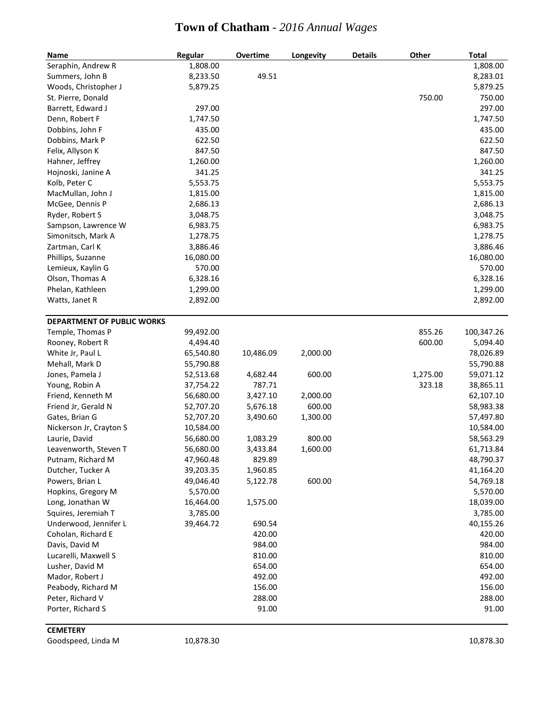| Name                       | Regular   | Overtime  | Longevity | <b>Details</b> | Other    | <b>Total</b> |
|----------------------------|-----------|-----------|-----------|----------------|----------|--------------|
| Seraphin, Andrew R         | 1,808.00  |           |           |                |          | 1,808.00     |
| Summers, John B            | 8,233.50  | 49.51     |           |                |          | 8,283.01     |
| Woods, Christopher J       | 5,879.25  |           |           |                |          | 5,879.25     |
| St. Pierre, Donald         |           |           |           |                | 750.00   | 750.00       |
| Barrett, Edward J          | 297.00    |           |           |                |          | 297.00       |
| Denn, Robert F             | 1,747.50  |           |           |                |          | 1,747.50     |
| Dobbins, John F            | 435.00    |           |           |                |          | 435.00       |
| Dobbins, Mark P            | 622.50    |           |           |                |          | 622.50       |
| Felix, Allyson K           | 847.50    |           |           |                |          | 847.50       |
| Hahner, Jeffrey            | 1,260.00  |           |           |                |          | 1,260.00     |
| Hojnoski, Janine A         | 341.25    |           |           |                |          | 341.25       |
| Kolb, Peter C              | 5,553.75  |           |           |                |          | 5,553.75     |
| MacMullan, John J          | 1,815.00  |           |           |                |          | 1,815.00     |
| McGee, Dennis P            | 2,686.13  |           |           |                |          | 2,686.13     |
| Ryder, Robert S            | 3,048.75  |           |           |                |          | 3,048.75     |
| Sampson, Lawrence W        | 6,983.75  |           |           |                |          | 6,983.75     |
| Simonitsch, Mark A         | 1,278.75  |           |           |                |          | 1,278.75     |
| Zartman, Carl K            | 3,886.46  |           |           |                |          | 3,886.46     |
| Phillips, Suzanne          | 16,080.00 |           |           |                |          | 16,080.00    |
| Lemieux, Kaylin G          | 570.00    |           |           |                |          | 570.00       |
| Olson, Thomas A            | 6,328.16  |           |           |                |          | 6,328.16     |
| Phelan, Kathleen           | 1,299.00  |           |           |                |          | 1,299.00     |
| Watts, Janet R             | 2,892.00  |           |           |                |          | 2,892.00     |
| DEPARTMENT OF PUBLIC WORKS |           |           |           |                |          |              |
| Temple, Thomas P           | 99,492.00 |           |           |                | 855.26   | 100,347.26   |
| Rooney, Robert R           | 4,494.40  |           |           |                | 600.00   | 5,094.40     |
| White Jr, Paul L           | 65,540.80 | 10,486.09 | 2,000.00  |                |          | 78,026.89    |
| Mehall, Mark D             | 55,790.88 |           |           |                |          | 55,790.88    |
| Jones, Pamela J            | 52,513.68 | 4,682.44  | 600.00    |                | 1,275.00 | 59,071.12    |
| Young, Robin A             | 37,754.22 | 787.71    |           |                | 323.18   | 38,865.11    |
| Friend, Kenneth M          | 56,680.00 | 3,427.10  | 2,000.00  |                |          | 62,107.10    |
| Friend Jr, Gerald N        | 52,707.20 | 5,676.18  | 600.00    |                |          | 58,983.38    |
| Gates, Brian G             | 52,707.20 | 3,490.60  | 1,300.00  |                |          | 57,497.80    |
| Nickerson Jr, Crayton S    | 10,584.00 |           |           |                |          | 10,584.00    |
| Laurie, David              | 56,680.00 | 1,083.29  | 800.00    |                |          | 58,563.29    |
| Leavenworth, Steven T      | 56,680.00 | 3,433.84  | 1,600.00  |                |          | 61,713.84    |
| Putnam, Richard M          | 47,960.48 | 829.89    |           |                |          | 48,790.37    |
| Dutcher, Tucker A          | 39,203.35 | 1,960.85  |           |                |          | 41,164.20    |
| Powers, Brian L            | 49,046.40 | 5,122.78  | 600.00    |                |          | 54,769.18    |
| Hopkins, Gregory M         | 5,570.00  |           |           |                |          | 5,570.00     |
| Long, Jonathan W           | 16,464.00 | 1,575.00  |           |                |          | 18,039.00    |
| Squires, Jeremiah T        | 3,785.00  |           |           |                |          | 3,785.00     |
| Underwood, Jennifer L      | 39,464.72 | 690.54    |           |                |          | 40,155.26    |
| Coholan, Richard E         |           | 420.00    |           |                |          | 420.00       |
| Davis, David M             |           | 984.00    |           |                |          | 984.00       |
| Lucarelli, Maxwell S       |           | 810.00    |           |                |          | 810.00       |
| Lusher, David M            |           | 654.00    |           |                |          | 654.00       |
| Mador, Robert J            |           | 492.00    |           |                |          | 492.00       |
| Peabody, Richard M         |           | 156.00    |           |                |          | 156.00       |
| Peter, Richard V           |           | 288.00    |           |                |          | 288.00       |
| Porter, Richard S          |           | 91.00     |           |                |          | 91.00        |
|                            |           |           |           |                |          |              |

**CEMETERY**

Goodspeed, Linda M 10,878.30 10,878.30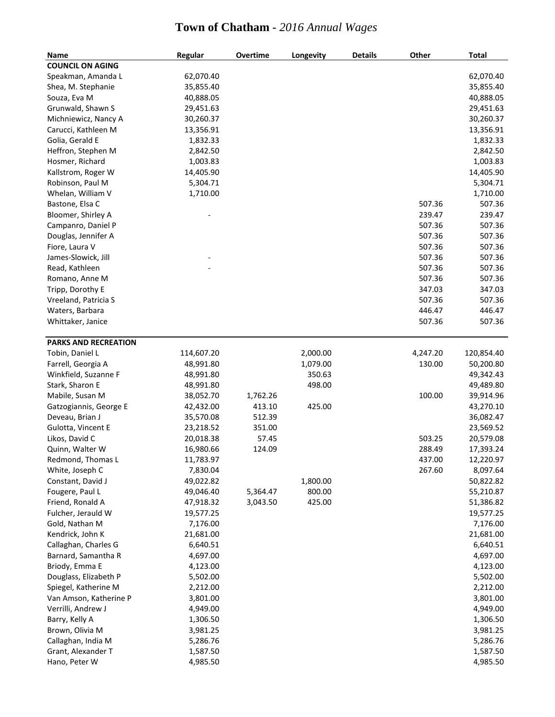| Name                        | Regular    | Overtime | Longevity | <b>Details</b> | Other    | <b>Total</b> |
|-----------------------------|------------|----------|-----------|----------------|----------|--------------|
| <b>COUNCIL ON AGING</b>     |            |          |           |                |          |              |
| Speakman, Amanda L          | 62,070.40  |          |           |                |          | 62,070.40    |
| Shea, M. Stephanie          | 35,855.40  |          |           |                |          | 35,855.40    |
| Souza, Eva M                | 40,888.05  |          |           |                |          | 40,888.05    |
| Grunwald, Shawn S           | 29,451.63  |          |           |                |          | 29,451.63    |
| Michniewicz, Nancy A        | 30,260.37  |          |           |                |          | 30,260.37    |
| Carucci, Kathleen M         | 13,356.91  |          |           |                |          | 13,356.91    |
| Golia, Gerald E             | 1,832.33   |          |           |                |          | 1,832.33     |
| Heffron, Stephen M          | 2,842.50   |          |           |                |          | 2,842.50     |
| Hosmer, Richard             | 1,003.83   |          |           |                |          | 1,003.83     |
| Kallstrom, Roger W          | 14,405.90  |          |           |                |          | 14,405.90    |
| Robinson, Paul M            | 5,304.71   |          |           |                |          | 5,304.71     |
| Whelan, William V           | 1,710.00   |          |           |                |          | 1,710.00     |
| Bastone, Elsa C             |            |          |           |                | 507.36   | 507.36       |
| Bloomer, Shirley A          |            |          |           |                | 239.47   | 239.47       |
| Campanro, Daniel P          |            |          |           |                | 507.36   | 507.36       |
| Douglas, Jennifer A         |            |          |           |                | 507.36   | 507.36       |
| Fiore, Laura V              |            |          |           |                | 507.36   | 507.36       |
| James-Slowick, Jill         |            |          |           |                | 507.36   | 507.36       |
| Read, Kathleen              |            |          |           |                | 507.36   | 507.36       |
| Romano, Anne M              |            |          |           |                | 507.36   | 507.36       |
| Tripp, Dorothy E            |            |          |           |                | 347.03   | 347.03       |
| Vreeland, Patricia S        |            |          |           |                | 507.36   | 507.36       |
| Waters, Barbara             |            |          |           |                | 446.47   | 446.47       |
| Whittaker, Janice           |            |          |           |                | 507.36   | 507.36       |
|                             |            |          |           |                |          |              |
| <b>PARKS AND RECREATION</b> |            |          |           |                |          |              |
| Tobin, Daniel L             | 114,607.20 |          | 2,000.00  |                | 4,247.20 | 120,854.40   |
| Farrell, Georgia A          | 48,991.80  |          | 1,079.00  |                | 130.00   | 50,200.80    |
| Winkfield, Suzanne F        | 48,991.80  |          | 350.63    |                |          | 49,342.43    |
| Stark, Sharon E             | 48,991.80  |          | 498.00    |                |          | 49,489.80    |
| Mabile, Susan M             | 38,052.70  | 1,762.26 |           |                | 100.00   | 39,914.96    |
| Gatzogiannis, George E      | 42,432.00  | 413.10   | 425.00    |                |          | 43,270.10    |
| Deveau, Brian J             | 35,570.08  | 512.39   |           |                |          | 36,082.47    |
| Gulotta, Vincent E          | 23,218.52  | 351.00   |           |                |          | 23,569.52    |
| Likos, David C              | 20,018.38  | 57.45    |           |                | 503.25   | 20,579.08    |
| Quinn, Walter W             | 16,980.66  | 124.09   |           |                | 288.49   | 17,393.24    |
| Redmond, Thomas L           | 11,783.97  |          |           |                | 437.00   | 12,220.97    |
| White, Joseph C             | 7,830.04   |          |           |                | 267.60   | 8,097.64     |
| Constant, David J           | 49,022.82  |          | 1,800.00  |                |          | 50,822.82    |
| Fougere, Paul L             | 49,046.40  | 5,364.47 | 800.00    |                |          | 55,210.87    |
| Friend, Ronald A            | 47,918.32  | 3,043.50 | 425.00    |                |          | 51,386.82    |
| Fulcher, Jerauld W          | 19,577.25  |          |           |                |          | 19,577.25    |
| Gold, Nathan M              | 7,176.00   |          |           |                |          | 7,176.00     |
| Kendrick, John K            | 21,681.00  |          |           |                |          | 21,681.00    |
| Callaghan, Charles G        | 6,640.51   |          |           |                |          | 6,640.51     |
| Barnard, Samantha R         | 4,697.00   |          |           |                |          | 4,697.00     |
| Briody, Emma E              | 4,123.00   |          |           |                |          | 4,123.00     |
| Douglass, Elizabeth P       | 5,502.00   |          |           |                |          | 5,502.00     |
| Spiegel, Katherine M        | 2,212.00   |          |           |                |          | 2,212.00     |
| Van Amson, Katherine P      | 3,801.00   |          |           |                |          | 3,801.00     |
| Verrilli, Andrew J          | 4,949.00   |          |           |                |          | 4,949.00     |
| Barry, Kelly A              | 1,306.50   |          |           |                |          | 1,306.50     |
| Brown, Olivia M             | 3,981.25   |          |           |                |          | 3,981.25     |
| Callaghan, India M          | 5,286.76   |          |           |                |          | 5,286.76     |
| Grant, Alexander T          | 1,587.50   |          |           |                |          | 1,587.50     |
| Hano, Peter W               | 4,985.50   |          |           |                |          | 4,985.50     |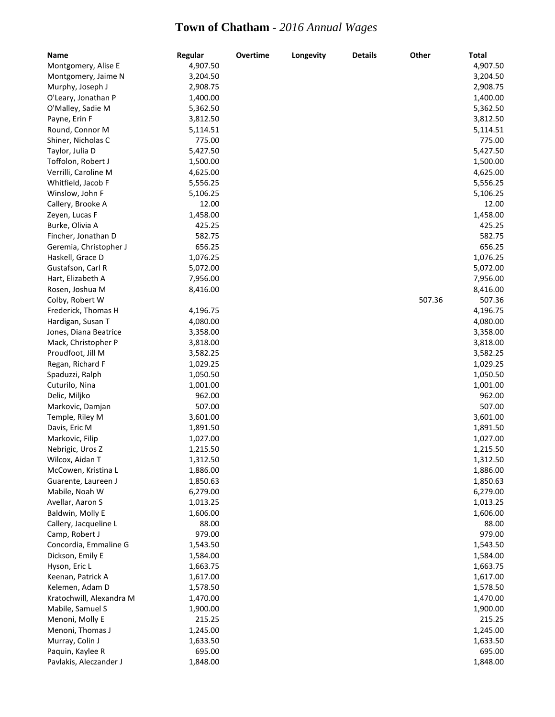| <b>Name</b>              | Regular  | Overtime | <b>Longevity</b> | <b>Details</b> | Other  | <b>Total</b> |
|--------------------------|----------|----------|------------------|----------------|--------|--------------|
| Montgomery, Alise E      | 4,907.50 |          |                  |                |        | 4,907.50     |
| Montgomery, Jaime N      | 3,204.50 |          |                  |                |        | 3,204.50     |
| Murphy, Joseph J         | 2,908.75 |          |                  |                |        | 2,908.75     |
| O'Leary, Jonathan P      | 1,400.00 |          |                  |                |        | 1,400.00     |
| O'Malley, Sadie M        | 5,362.50 |          |                  |                |        | 5,362.50     |
| Payne, Erin F            | 3,812.50 |          |                  |                |        | 3,812.50     |
| Round, Connor M          | 5,114.51 |          |                  |                |        | 5,114.51     |
| Shiner, Nicholas C       | 775.00   |          |                  |                |        | 775.00       |
| Taylor, Julia D          | 5,427.50 |          |                  |                |        | 5,427.50     |
| Toffolon, Robert J       | 1,500.00 |          |                  |                |        | 1,500.00     |
| Verrilli, Caroline M     | 4,625.00 |          |                  |                |        | 4,625.00     |
| Whitfield, Jacob F       | 5,556.25 |          |                  |                |        | 5,556.25     |
| Winslow, John F          | 5,106.25 |          |                  |                |        | 5,106.25     |
| Callery, Brooke A        | 12.00    |          |                  |                |        | 12.00        |
| Zeyen, Lucas F           | 1,458.00 |          |                  |                |        | 1,458.00     |
| Burke, Olivia A          | 425.25   |          |                  |                |        | 425.25       |
| Fincher, Jonathan D      | 582.75   |          |                  |                |        | 582.75       |
| Geremia, Christopher J   | 656.25   |          |                  |                |        | 656.25       |
| Haskell, Grace D         | 1,076.25 |          |                  |                |        | 1,076.25     |
| Gustafson, Carl R        | 5,072.00 |          |                  |                |        | 5,072.00     |
| Hart, Elizabeth A        | 7,956.00 |          |                  |                |        | 7,956.00     |
| Rosen, Joshua M          | 8,416.00 |          |                  |                |        | 8,416.00     |
| Colby, Robert W          |          |          |                  |                | 507.36 | 507.36       |
| Frederick, Thomas H      | 4,196.75 |          |                  |                |        | 4,196.75     |
| Hardigan, Susan T        | 4,080.00 |          |                  |                |        | 4,080.00     |
| Jones, Diana Beatrice    | 3,358.00 |          |                  |                |        | 3,358.00     |
| Mack, Christopher P      | 3,818.00 |          |                  |                |        | 3,818.00     |
| Proudfoot, Jill M        | 3,582.25 |          |                  |                |        | 3,582.25     |
| Regan, Richard F         | 1,029.25 |          |                  |                |        | 1,029.25     |
| Spaduzzi, Ralph          | 1,050.50 |          |                  |                |        | 1,050.50     |
| Cuturilo, Nina           | 1,001.00 |          |                  |                |        | 1,001.00     |
| Delic, Miljko            | 962.00   |          |                  |                |        | 962.00       |
| Markovic, Damjan         | 507.00   |          |                  |                |        | 507.00       |
| Temple, Riley M          | 3,601.00 |          |                  |                |        | 3,601.00     |
| Davis, Eric M            | 1,891.50 |          |                  |                |        | 1,891.50     |
| Markovic, Filip          | 1,027.00 |          |                  |                |        | 1,027.00     |
| Nebrigic, Uros Z         | 1,215.50 |          |                  |                |        | 1,215.50     |
| Wilcox, Aidan T          | 1,312.50 |          |                  |                |        | 1,312.50     |
| McCowen, Kristina L      | 1,886.00 |          |                  |                |        | 1,886.00     |
| Guarente, Laureen J      | 1,850.63 |          |                  |                |        | 1,850.63     |
| Mabile, Noah W           | 6,279.00 |          |                  |                |        | 6,279.00     |
| Avellar, Aaron S         | 1,013.25 |          |                  |                |        | 1,013.25     |
| Baldwin, Molly E         | 1,606.00 |          |                  |                |        | 1,606.00     |
| Callery, Jacqueline L    | 88.00    |          |                  |                |        | 88.00        |
| Camp, Robert J           | 979.00   |          |                  |                |        | 979.00       |
| Concordia, Emmaline G    | 1,543.50 |          |                  |                |        | 1,543.50     |
| Dickson, Emily E         | 1,584.00 |          |                  |                |        | 1,584.00     |
| Hyson, Eric L            | 1,663.75 |          |                  |                |        | 1,663.75     |
| Keenan, Patrick A        | 1,617.00 |          |                  |                |        | 1,617.00     |
| Kelemen, Adam D          | 1,578.50 |          |                  |                |        | 1,578.50     |
| Kratochwill, Alexandra M | 1,470.00 |          |                  |                |        | 1,470.00     |
| Mabile, Samuel S         | 1,900.00 |          |                  |                |        | 1,900.00     |
| Menoni, Molly E          | 215.25   |          |                  |                |        | 215.25       |
| Menoni, Thomas J         | 1,245.00 |          |                  |                |        | 1,245.00     |
| Murray, Colin J          | 1,633.50 |          |                  |                |        | 1,633.50     |
| Paquin, Kaylee R         | 695.00   |          |                  |                |        | 695.00       |
| Pavlakis, Aleczander J   | 1,848.00 |          |                  |                |        | 1,848.00     |